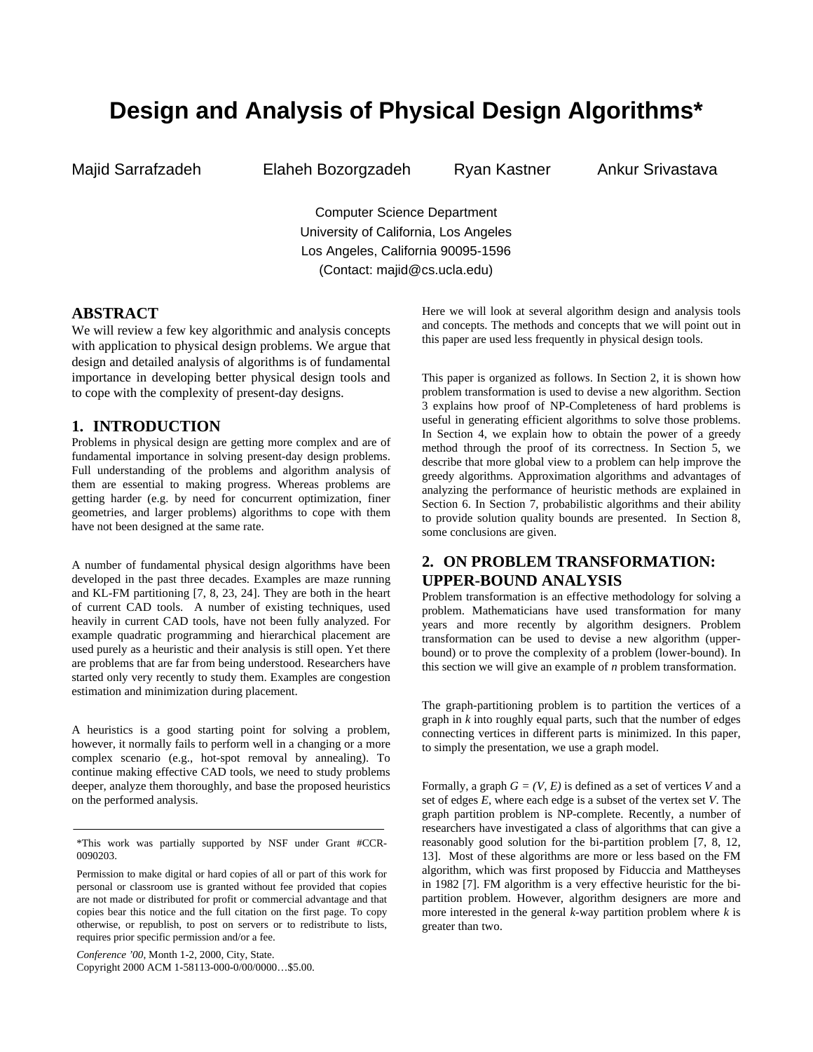# **Design and Analysis of Physical Design Algorithms\***

Majid Sarrafzadeh Elaheh Bozorgzadeh Ryan Kastner Ankur Srivastava

Computer Science Department University of California, Los Angeles Los Angeles, California 90095-1596 (Contact: majid@cs.ucla.edu)

# **ABSTRACT**

We will review a few key algorithmic and analysis concepts with application to physical design problems. We argue that design and detailed analysis of algorithms is of fundamental importance in developing better physical design tools and to cope with the complexity of present-day designs.

## **1. INTRODUCTION**

Problems in physical design are getting more complex and are of fundamental importance in solving present-day design problems. Full understanding of the problems and algorithm analysis of them are essential to making progress. Whereas problems are getting harder (e.g. by need for concurrent optimization, finer geometries, and larger problems) algorithms to cope with them have not been designed at the same rate.

A number of fundamental physical design algorithms have been developed in the past three decades. Examples are maze running and KL-FM partitioning [7, 8, 23, 24]. They are both in the heart of current CAD tools. A number of existing techniques, used heavily in current CAD tools, have not been fully analyzed. For example quadratic programming and hierarchical placement are used purely as a heuristic and their analysis is still open. Yet there are problems that are far from being understood. Researchers have started only very recently to study them. Examples are congestion estimation and minimization during placement.

A heuristics is a good starting point for solving a problem, however, it normally fails to perform well in a changing or a more complex scenario (e.g., hot-spot removal by annealing). To continue making effective CAD tools, we need to study problems deeper, analyze them thoroughly, and base the proposed heuristics on the performed analysis.

*Conference '00*, Month 1-2, 2000, City, State. Copyright 2000 ACM 1-58113-000-0/00/0000…\$5.00. Here we will look at several algorithm design and analysis tools and concepts. The methods and concepts that we will point out in this paper are used less frequently in physical design tools.

This paper is organized as follows. In Section 2, it is shown how problem transformation is used to devise a new algorithm. Section 3 explains how proof of NP-Completeness of hard problems is useful in generating efficient algorithms to solve those problems. In Section 4, we explain how to obtain the power of a greedy method through the proof of its correctness. In Section 5, we describe that more global view to a problem can help improve the greedy algorithms. Approximation algorithms and advantages of analyzing the performance of heuristic methods are explained in Section 6. In Section 7, probabilistic algorithms and their ability to provide solution quality bounds are presented. In Section 8, some conclusions are given.

# **2. ON PROBLEM TRANSFORMATION: UPPER-BOUND ANALYSIS**

Problem transformation is an effective methodology for solving a problem. Mathematicians have used transformation for many years and more recently by algorithm designers. Problem transformation can be used to devise a new algorithm (upperbound) or to prove the complexity of a problem (lower-bound). In this section we will give an example of *n* problem transformation.

The graph-partitioning problem is to partition the vertices of a graph in *k* into roughly equal parts, such that the number of edges connecting vertices in different parts is minimized. In this paper, to simply the presentation, we use a graph model.

Formally, a graph  $G = (V, E)$  is defined as a set of vertices V and a set of edges *E*, where each edge is a subset of the vertex set *V*. The graph partition problem is NP-complete. Recently, a number of researchers have investigated a class of algorithms that can give a reasonably good solution for the bi-partition problem [7, 8, 12, 13]. Most of these algorithms are more or less based on the FM algorithm, which was first proposed by Fiduccia and Mattheyses in 1982 [7]. FM algorithm is a very effective heuristic for the bipartition problem. However, algorithm designers are more and more interested in the general *k*-way partition problem where *k* is greater than two.

<sup>\*</sup>This work was partially supported by NSF under Grant #CCR-0090203.

Permission to make digital or hard copies of all or part of this work for personal or classroom use is granted without fee provided that copies are not made or distributed for profit or commercial advantage and that copies bear this notice and the full citation on the first page. To copy otherwise, or republish, to post on servers or to redistribute to lists, requires prior specific permission and/or a fee.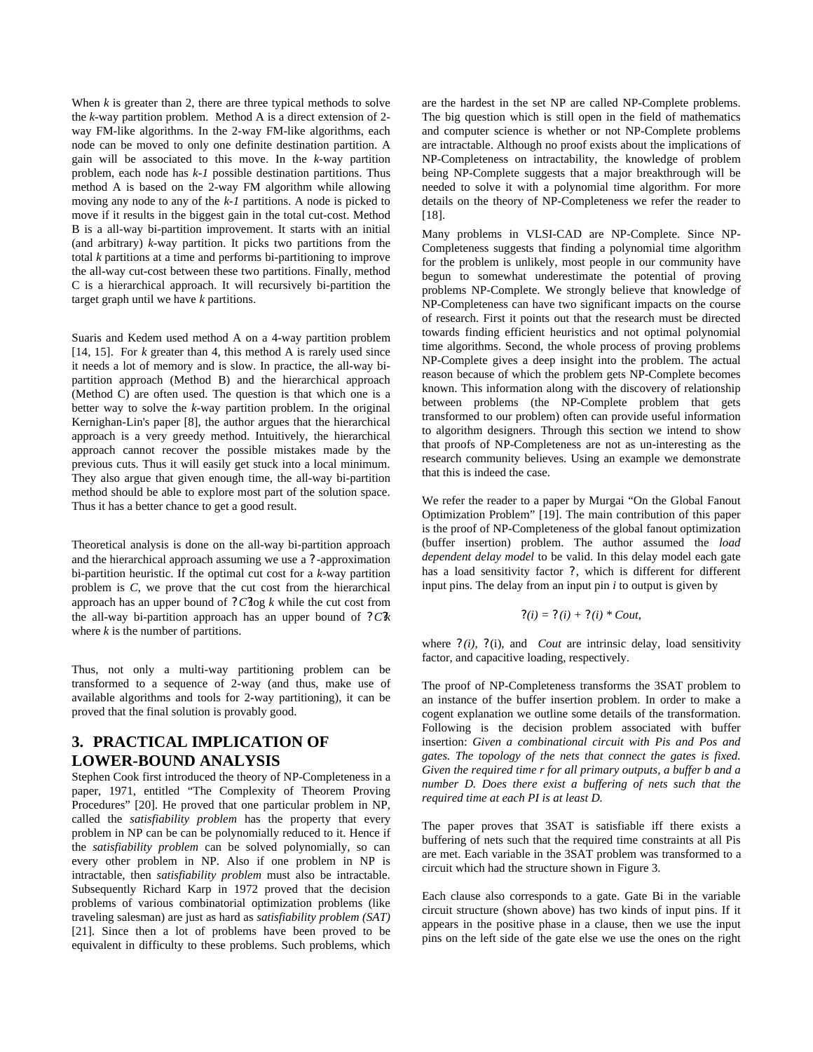When  $k$  is greater than 2, there are three typical methods to solve the *k*-way partition problem. Method A is a direct extension of 2 way FM-like algorithms. In the 2-way FM-like algorithms, each node can be moved to only one definite destination partition. A gain will be associated to this move. In the *k*-way partition problem, each node has *k-1* possible destination partitions. Thus method A is based on the 2-way FM algorithm while allowing moving any node to any of the *k-1* partitions. A node is picked to move if it results in the biggest gain in the total cut-cost. Method B is a all-way bi-partition improvement. It starts with an initial (and arbitrary) *k*-way partition. It picks two partitions from the total *k* partitions at a time and performs bi-partitioning to improve the all-way cut-cost between these two partitions. Finally, method C is a hierarchical approach. It will recursively bi-partition the target graph until we have *k* partitions.

Suaris and Kedem used method A on a 4-way partition problem [14, 15]. For *k* greater than 4, this method A is rarely used since it needs a lot of memory and is slow. In practice, the all-way bipartition approach (Method B) and the hierarchical approach (Method C) are often used. The question is that which one is a better way to solve the *k*-way partition problem. In the original Kernighan-Lin's paper [8], the author argues that the hierarchical approach is a very greedy method. Intuitively, the hierarchical approach cannot recover the possible mistakes made by the previous cuts. Thus it will easily get stuck into a local minimum. They also argue that given enough time, the all-way bi-partition method should be able to explore most part of the solution space. Thus it has a better chance to get a good result.

Theoretical analysis is done on the all-way bi-partition approach and the hierarchical approach assuming we use a ? -approximation bi-partition heuristic. If the optimal cut cost for a *k*-way partition problem is *C*, we prove that the cut cost from the hierarchical approach has an upper bound of ? *C?*log *k* while the cut cost from the all-way bi-partition approach has an upper bound of ? *C?k* where *k* is the number of partitions.

Thus, not only a multi-way partitioning problem can be transformed to a sequence of 2-way (and thus, make use of available algorithms and tools for 2-way partitioning), it can be proved that the final solution is provably good.

# **3. PRACTICAL IMPLICATION OF LOWER-BOUND ANALYSIS**

Stephen Cook first introduced the theory of NP-Completeness in a paper, 1971, entitled "The Complexity of Theorem Proving Procedures" [20]. He proved that one particular problem in NP, called the *satisfiability problem* has the property that every problem in NP can be can be polynomially reduced to it. Hence if the *satisfiability problem* can be solved polynomially, so can every other problem in NP. Also if one problem in NP is intractable, then *satisfiability problem* must also be intractable. Subsequently Richard Karp in 1972 proved that the decision problems of various combinatorial optimization problems (like traveling salesman) are just as hard as *satisfiability problem (SAT)* [21]*.* Since then a lot of problems have been proved to be equivalent in difficulty to these problems. Such problems, which

are the hardest in the set NP are called NP-Complete problems. The big question which is still open in the field of mathematics and computer science is whether or not NP-Complete problems are intractable. Although no proof exists about the implications of NP-Completeness on intractability, the knowledge of problem being NP-Complete suggests that a major breakthrough will be needed to solve it with a polynomial time algorithm. For more details on the theory of NP-Completeness we refer the reader to [18].

Many problems in VLSI-CAD are NP-Complete. Since NP-Completeness suggests that finding a polynomial time algorithm for the problem is unlikely, most people in our community have begun to somewhat underestimate the potential of proving problems NP-Complete. We strongly believe that knowledge of NP-Completeness can have two significant impacts on the course of research. First it points out that the research must be directed towards finding efficient heuristics and not optimal polynomial time algorithms. Second, the whole process of proving problems NP-Complete gives a deep insight into the problem. The actual reason because of which the problem gets NP-Complete becomes known. This information along with the discovery of relationship between problems (the NP-Complete problem that gets transformed to our problem) often can provide useful information to algorithm designers. Through this section we intend to show that proofs of NP-Completeness are not as un-interesting as the research community believes. Using an example we demonstrate that this is indeed the case.

We refer the reader to a paper by Murgai "On the Global Fanout Optimization Problem" [19]. The main contribution of this paper is the proof of NP-Completeness of the global fanout optimization (buffer insertion) problem. The author assumed the *load dependent delay model* to be valid. In this delay model each gate has a load sensitivity factor ?, which is different for different input pins. The delay from an input pin *i* to output is given by

$$
?(i) = ?(i) + ?(i) * Count,
$$

where  $?$  (i), ?(i), and *Cout* are intrinsic delay, load sensitivity factor, and capacitive loading, respectively.

The proof of NP-Completeness transforms the 3SAT problem to an instance of the buffer insertion problem. In order to make a cogent explanation we outline some details of the transformation. Following is the decision problem associated with buffer insertion: *Given a combinational circuit with Pis and Pos and gates. The topology of the nets that connect the gates is fixed. Given the required time r for all primary outputs, a buffer b and a number D. Does there exist a buffering of nets such that the required time at each PI is at least D.*

The paper proves that 3SAT is satisfiable iff there exists a buffering of nets such that the required time constraints at all Pis are met. Each variable in the 3SAT problem was transformed to a circuit which had the structure shown in Figure 3.

Each clause also corresponds to a gate. Gate Bi in the variable circuit structure (shown above) has two kinds of input pins. If it appears in the positive phase in a clause, then we use the input pins on the left side of the gate else we use the ones on the right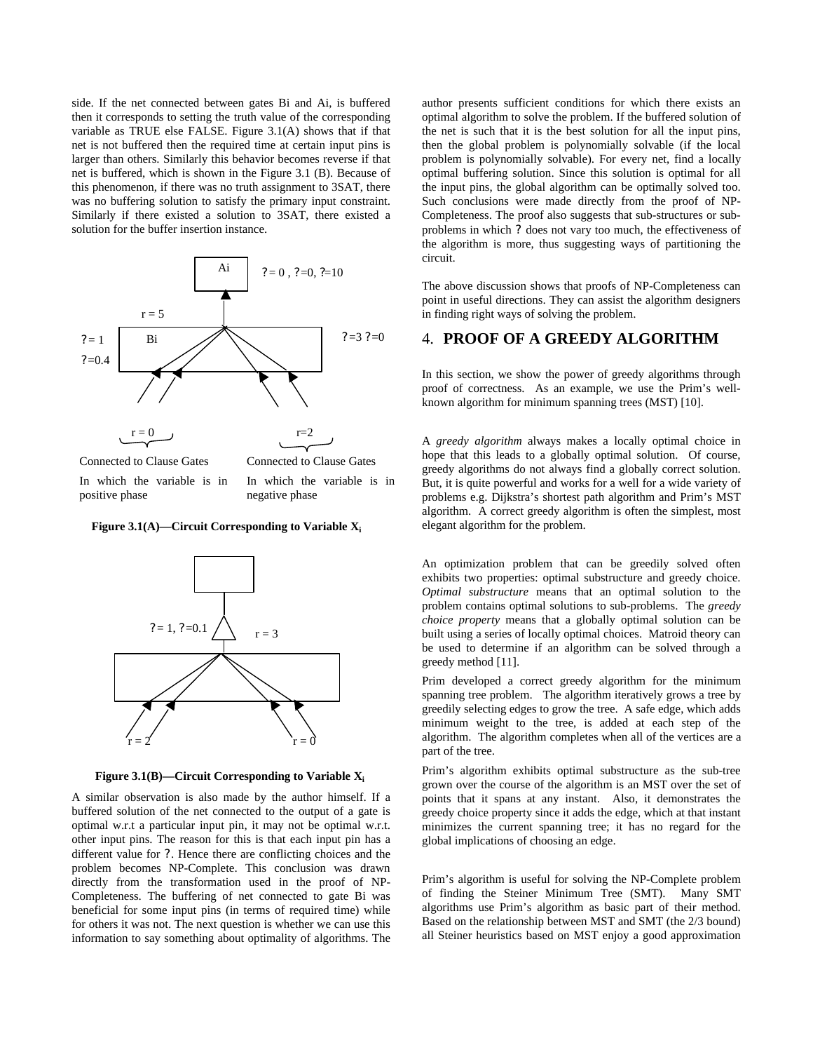side. If the net connected between gates Bi and Ai, is buffered then it corresponds to setting the truth value of the corresponding variable as TRUE else FALSE. Figure 3.1(A) shows that if that net is not buffered then the required time at certain input pins is larger than others. Similarly this behavior becomes reverse if that net is buffered, which is shown in the Figure 3.1 (B). Because of this phenomenon, if there was no truth assignment to 3SAT, there was no buffering solution to satisfy the primary input constraint. Similarly if there existed a solution to 3SAT, there existed a solution for the buffer insertion instance.



Connected to Clause Gates In which the variable is in

positive phase

Connected to Clause Gates In which the variable is in

negative phase

**Figure 3.1(A)—Circuit Corresponding to Variable X<sup>i</sup>**



**Figure 3.1(B)—Circuit Corresponding to Variable X<sup>i</sup>**

A similar observation is also made by the author himself. If a buffered solution of the net connected to the output of a gate is optimal w.r.t a particular input pin, it may not be optimal w.r.t. other input pins. The reason for this is that each input pin has a different value for ?. Hence there are conflicting choices and the problem becomes NP-Complete. This conclusion was drawn directly from the transformation used in the proof of NP-Completeness. The buffering of net connected to gate Bi was beneficial for some input pins (in terms of required time) while for others it was not. The next question is whether we can use this information to say something about optimality of algorithms. The

author presents sufficient conditions for which there exists an optimal algorithm to solve the problem. If the buffered solution of the net is such that it is the best solution for all the input pins, then the global problem is polynomially solvable (if the local problem is polynomially solvable). For every net, find a locally optimal buffering solution. Since this solution is optimal for all the input pins, the global algorithm can be optimally solved too. Such conclusions were made directly from the proof of NP-Completeness. The proof also suggests that sub-structures or subproblems in which ? does not vary too much, the effectiveness of the algorithm is more, thus suggesting ways of partitioning the circuit.

The above discussion shows that proofs of NP-Completeness can point in useful directions. They can assist the algorithm designers in finding right ways of solving the problem.

# 4. **PROOF OF A GREEDY ALGORITHM**

In this section, we show the power of greedy algorithms through proof of correctness. As an example, we use the Prim's wellknown algorithm for minimum spanning trees (MST) [10].

A *greedy algorithm* always makes a locally optimal choice in hope that this leads to a globally optimal solution. Of course, greedy algorithms do not always find a globally correct solution. But, it is quite powerful and works for a well for a wide variety of problems e.g. Dijkstra's shortest path algorithm and Prim's MST algorithm. A correct greedy algorithm is often the simplest, most elegant algorithm for the problem.

An optimization problem that can be greedily solved often exhibits two properties: optimal substructure and greedy choice. *Optimal substructure* means that an optimal solution to the problem contains optimal solutions to sub-problems. The *greedy choice property* means that a globally optimal solution can be built using a series of locally optimal choices. Matroid theory can be used to determine if an algorithm can be solved through a greedy method [11].

Prim developed a correct greedy algorithm for the minimum spanning tree problem. The algorithm iteratively grows a tree by greedily selecting edges to grow the tree. A safe edge, which adds minimum weight to the tree, is added at each step of the algorithm. The algorithm completes when all of the vertices are a part of the tree.

Prim's algorithm exhibits optimal substructure as the sub-tree grown over the course of the algorithm is an MST over the set of points that it spans at any instant. Also, it demonstrates the greedy choice property since it adds the edge, which at that instant minimizes the current spanning tree; it has no regard for the global implications of choosing an edge.

Prim's algorithm is useful for solving the NP-Complete problem of finding the Steiner Minimum Tree (SMT). Many SMT algorithms use Prim's algorithm as basic part of their method. Based on the relationship between MST and SMT (the 2/3 bound) all Steiner heuristics based on MST enjoy a good approximation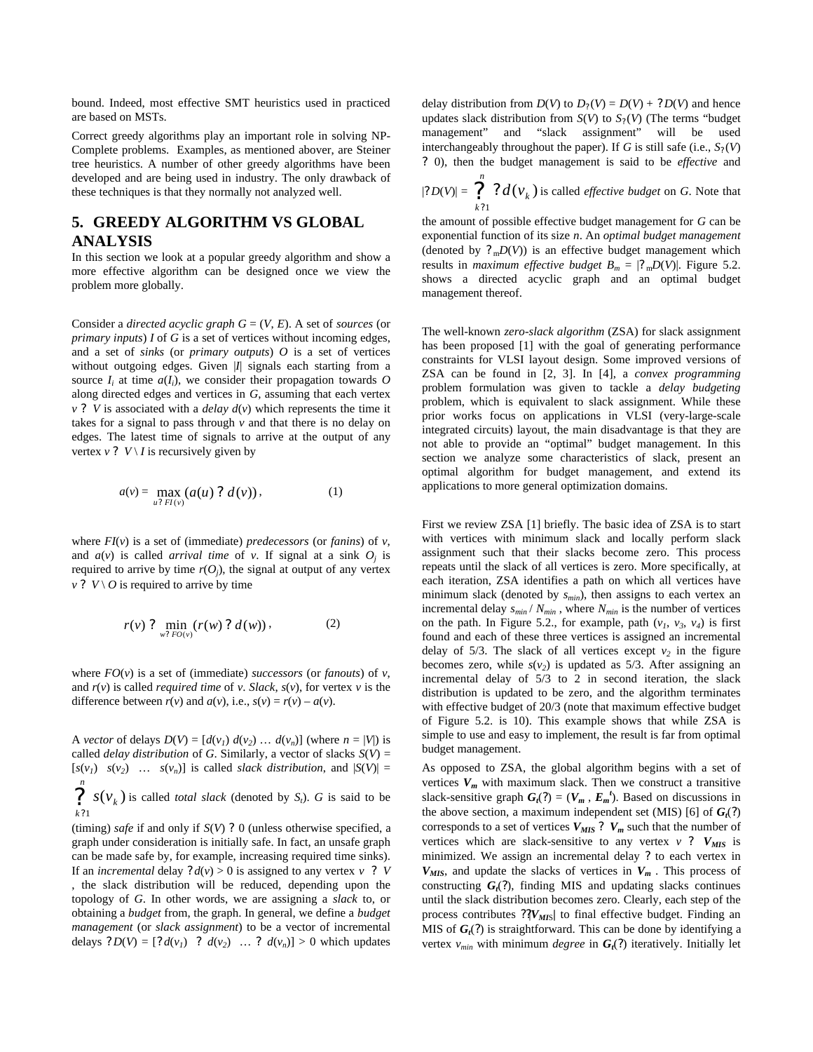bound. Indeed, most effective SMT heuristics used in practiced are based on MSTs.

Correct greedy algorithms play an important role in solving NP-Complete problems. Examples, as mentioned abover, are Steiner tree heuristics. A number of other greedy algorithms have been developed and are being used in industry. The only drawback of these techniques is that they normally not analyzed well.

# **5. GREEDY ALGORITHM VS GLOBAL ANALYSIS**

In this section we look at a popular greedy algorithm and show a more effective algorithm can be designed once we view the problem more globally.

Consider a *directed acyclic graph G* = (*V*, *E*). A set of *sources* (or *primary inputs*) *I* of *G* is a set of vertices without incoming edges, and a set of *sinks* (or *primary outputs*) *O* is a set of vertices without outgoing edges. Given |*I*| signals each starting from a source  $I_i$  at time  $a(I_i)$ , we consider their propagation towards  $O$ along directed edges and vertices in *G*, assuming that each vertex *v* ? *V* is associated with a *delay*  $d(v)$  which represents the time it takes for a signal to pass through  $\nu$  and that there is no delay on edges. The latest time of signals to arrive at the output of any vertex  $v$  ?  $V \setminus I$  is recursively given by

$$
a(v) = \max_{u? \ FI(v)} (a(u)? \ d(v)), \qquad (1)
$$

where *FI*(*v*) is a set of (immediate) *predecessors* (or *fanins*) of *v*, and  $a(v)$  is called *arrival time* of *v*. If signal at a sink  $O_j$  is required to arrive by time  $r(O_j)$ , the signal at output of any vertex  $v$  ? *V* \ *O* is required to arrive by time

$$
r(v) ? \min_{w? \, FO(v)}(r(w) ? d(w)), \tag{2}
$$

where  $FO(v)$  is a set of (immediate) *successors* (or *fanouts*) of *v*, and  $r(v)$  is called *required time* of *v*. *Slack*,  $s(v)$ , for vertex *v* is the difference between  $r(v)$  and  $a(v)$ , i.e.,  $s(v) = r(v) - a(v)$ .

A *vector* of delays  $D(V) = [d(v_1) d(v_2) ... d(v_n)]$  (where  $n = |V|$ ) is called *delay distribution* of *G*. Similarly, a vector of slacks  $S(V)$  =  $[s(v_1) \quad s(v_2) \quad \dots \quad s(v_n)]$  is called *slack distribution*, and  $|S(V)| =$ 

? *n* ? *k* 1  $s(v_k)$  is called *total slack* (denoted by *S<sub>t</sub>*). *G* is said to be

(timing) *safe* if and only if *S*(*V*) ? 0 (unless otherwise specified, a graph under consideration is initially safe. In fact, an unsafe graph can be made safe by, for example, increasing required time sinks). If an *incremental* delay  $? d(v) > 0$  is assigned to any vertex  $v$  ? *V* , the slack distribution will be reduced, depending upon the topology of *G*. In other words, we are assigning a *slack* to, or obtaining a *budget* from, the graph. In general, we define a *budget management* (or *slack assignment*) to be a vector of incremental delays  $?D(V) = [?d(v_1) ? d(v_2) ... ? d(v_n)] > 0$  which updates

delay distribution from  $D(V)$  to  $D_2(V) = D(V) + ?D(V)$  and hence updates slack distribution from  $S(V)$  to  $S<sub>2</sub>(V)$  (The terms "budget management" and "slack assignment" will be used interchangeably throughout the paper). If *G* is still safe (i.e.,  $S_2(V)$ ) ? 0), then the budget management is said to be *effective* and *n*

 $|? D(V)| = \bigcap_{k=1}^{\infty}$ ? *k*  $d(v_k)$ 1  $(v_k)$  is called *effective budget* on *G*. Note that

the amount of possible effective budget management for *G* can be exponential function of its size *n*. An *optimal budget management* (denoted by  $?_{m}D(V)$ ) is an effective budget management which results in *maximum effective budget*  $B_m = |?_mD(V)|$ . Figure 5.2. shows a directed acyclic graph and an optimal budget management thereof.

The well-known *zero-slack algorithm* (ZSA) for slack assignment has been proposed [1] with the goal of generating performance constraints for VLSI layout design. Some improved versions of ZSA can be found in [2, 3]. In [4], a *convex programming* problem formulation was given to tackle a *delay budgeting* problem, which is equivalent to slack assignment. While these prior works focus on applications in VLSI (very-large-scale integrated circuits) layout, the main disadvantage is that they are not able to provide an "optimal" budget management. In this section we analyze some characteristics of slack, present an optimal algorithm for budget management, and extend its applications to more general optimization domains.

First we review ZSA [1] briefly. The basic idea of ZSA is to start with vertices with minimum slack and locally perform slack assignment such that their slacks become zero. This process repeats until the slack of all vertices is zero. More specifically, at each iteration, ZSA identifies a path on which all vertices have minimum slack (denoted by *smin*), then assigns to each vertex an incremental delay  $s_{min} / N_{min}$ , where  $N_{min}$  is the number of vertices on the path. In Figure 5.2., for example, path  $(v_1, v_3, v_4)$  is first found and each of these three vertices is assigned an incremental delay of  $5/3$ . The slack of all vertices except  $v_2$  in the figure becomes zero, while  $s(v_2)$  is updated as 5/3. After assigning an incremental delay of 5/3 to 2 in second iteration, the slack distribution is updated to be zero, and the algorithm terminates with effective budget of 20/3 (note that maximum effective budget of Figure 5.2. is 10). This example shows that while ZSA is simple to use and easy to implement, the result is far from optimal budget management.

As opposed to ZSA, the global algorithm begins with a set of vertices  $V_m$  with maximum slack. Then we construct a transitive slack-sensitive graph  $G_t(?) = (V_m, E_m^t)$ . Based on discussions in the above section, a maximum independent set (MIS) [6] of *G<sup>t</sup>* (*?*) corresponds to a set of vertices  $V_{MIS}$ ?  $V_m$  such that the number of vertices which are slack-sensitive to any vertex  $v$  ?  $V_{MIS}$  is minimized. We assign an incremental delay *?* to each vertex in  $V_{MIS}$ , and update the slacks of vertices in  $V_m$ . This process of constructing  $G_t(?)$ , finding MIS and updating slacks continues until the slack distribution becomes zero. Clearly, each step of the process contributes  $?$ <sup>*[V<sub>MIS</sub>]* to final effective budget. Finding an</sup> MIS of  $G_t$ (?) is straightforward. This can be done by identifying a vertex *vmin* with minimum *degree* in *G<sup>t</sup>* (*?*) iteratively. Initially let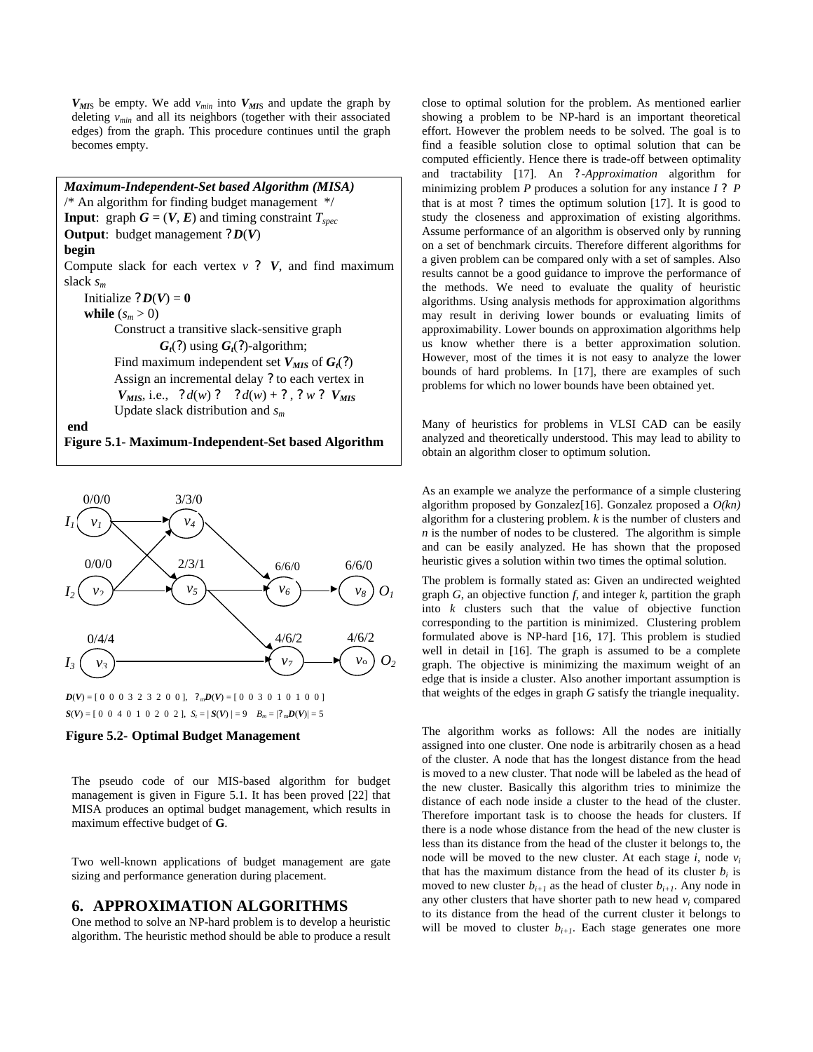$V_{MIS}$  be empty. We add  $v_{min}$  into  $V_{MIS}$  and update the graph by deleting *vmin* and all its neighbors (together with their associated edges) from the graph. This procedure continues until the graph becomes empty.

*Maximum-Independent-Set based Algorithm (MISA)* /\* An algorithm for finding budget management \*/ **Input**: graph  $G = (V, E)$  and timing constraint  $T_{spec}$ **Output**: budget management  $?D(V)$ **begin** Compute slack for each vertex  $v$  ?  $V$ , and find maximum slack *s<sup>m</sup>* Initialize  $?D(V) = 0$ **while**  $(s_m > 0)$  Construct a transitive slack-sensitive graph  $G_t(?)$  using  $G_t(?)$ -algorithm; Find maximum independent set  $V_{MIS}$  of  $G_t(?)$  Assign an incremental delay *?* to each vertex in  $V_{MIS}$ , i.e., ?  $d(w)$  ? ?  $d(w) + ?$ , ?  $w$  ?  $V_{MIS}$  Update slack distribution and *s<sup>m</sup>* **end Figure 5.1- Maximum-Independent-Set based Algorithm**





#### **Figure 5.2- Optimal Budget Management**

The pseudo code of our MIS-based algorithm for budget management is given in Figure 5.1. It has been proved [22] that MISA produces an optimal budget management, which results in maximum effective budget of **G**.

Two well-known applications of budget management are gate sizing and performance generation during placement.

### **6. APPROXIMATION ALGORITHMS**

One method to solve an NP-hard problem is to develop a heuristic algorithm. The heuristic method should be able to produce a result close to optimal solution for the problem. As mentioned earlier showing a problem to be NP-hard is an important theoretical effort. However the problem needs to be solved. The goal is to find a feasible solution close to optimal solution that can be computed efficiently. Hence there is trade-off between optimality and tractability [17]. An ? -*Approximation* algorithm for minimizing problem *P* produces a solution for any instance *I* ? *P* that is at most ? times the optimum solution [17]. It is good to study the closeness and approximation of existing algorithms. Assume performance of an algorithm is observed only by running on a set of benchmark circuits. Therefore different algorithms for a given problem can be compared only with a set of samples. Also results cannot be a good guidance to improve the performance of the methods. We need to evaluate the quality of heuristic algorithms. Using analysis methods for approximation algorithms may result in deriving lower bounds or evaluating limits of approximability. Lower bounds on approximation algorithms help us know whether there is a better approximation solution. However, most of the times it is not easy to analyze the lower bounds of hard problems. In [17], there are examples of such problems for which no lower bounds have been obtained yet.

Many of heuristics for problems in VLSI CAD can be easily analyzed and theoretically understood. This may lead to ability to obtain an algorithm closer to optimum solution.

As an example we analyze the performance of a simple clustering algorithm proposed by Gonzalez<sup>[16]</sup>. Gonzalez proposed a  $O(kn)$ algorithm for a clustering problem. *k* is the number of clusters and  $n$  is the number of nodes to be clustered. The algorithm is simple and can be easily analyzed. He has shown that the proposed heuristic gives a solution within two times the optimal solution.

The problem is formally stated as: Given an undirected weighted graph *G*, an objective function *f*, and integer *k*, partition the graph into *k* clusters such that the value of objective function corresponding to the partition is minimized. Clustering problem formulated above is NP-hard [16, 17]. This problem is studied well in detail in [16]. The graph is assumed to be a complete graph. The objective is minimizing the maximum weight of an edge that is inside a cluster. Also another important assumption is that weights of the edges in graph *G* satisfy the triangle inequality.

The algorithm works as follows: All the nodes are initially assigned into one cluster. One node is arbitrarily chosen as a head of the cluster. A node that has the longest distance from the head is moved to a new cluster. That node will be labeled as the head of the new cluster. Basically this algorithm tries to minimize the distance of each node inside a cluster to the head of the cluster. Therefore important task is to choose the heads for clusters. If there is a node whose distance from the head of the new cluster is less than its distance from the head of the cluster it belongs to, the node will be moved to the new cluster. At each stage *i*, node *v<sup>i</sup>* that has the maximum distance from the head of its cluster  $b_i$  is moved to new cluster  $b_{i+1}$  as the head of cluster  $b_{i+1}$ . Any node in any other clusters that have shorter path to new head  $v_i$  compared to its distance from the head of the current cluster it belongs to will be moved to cluster  $b_{i+1}$ . Each stage generates one more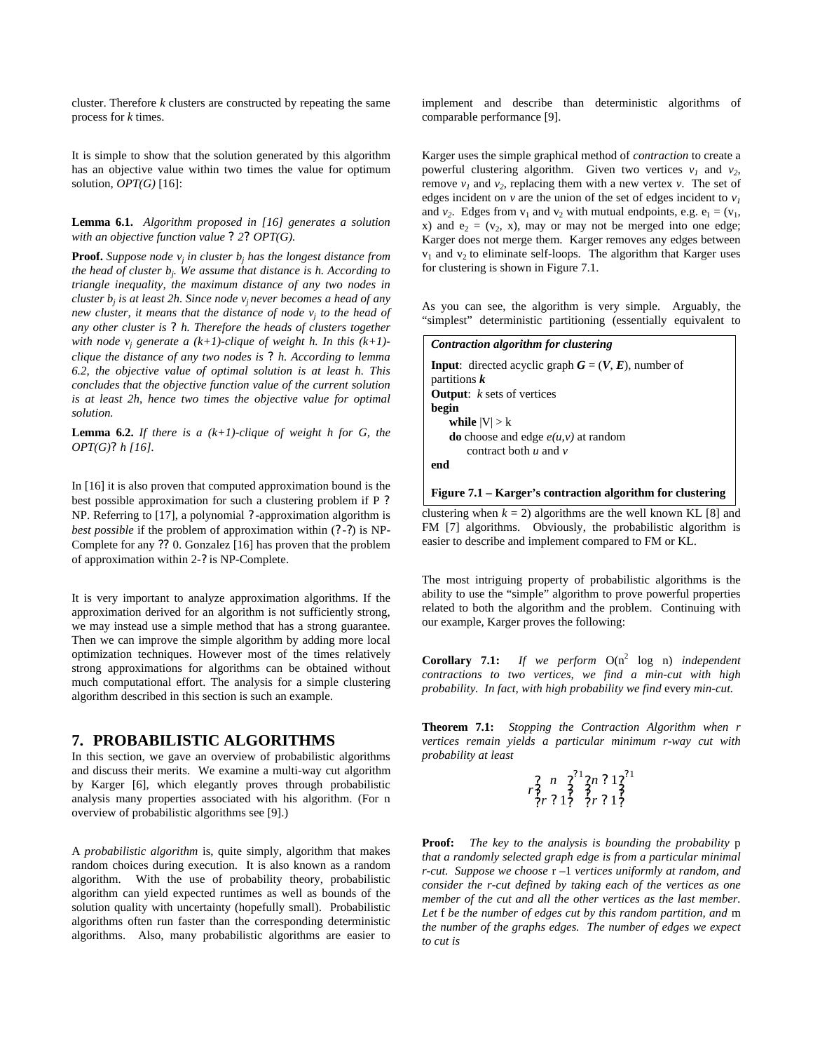cluster. Therefore *k* clusters are constructed by repeating the same process for *k* times.

It is simple to show that the solution generated by this algorithm has an objective value within two times the value for optimum solution, *OPT(G)* [16]:

#### **Lemma 6.1.** *Algorithm proposed in [16] generates a solution with an objective function value ? 2? OPT(G).*

**Proof.** Suppose node  $v_j$  in cluster  $b_j$  has the longest distance from *the head of cluster b<sup>j</sup> . We assume that distance is h. According to triangle inequality, the maximum distance of any two nodes in cluster b<sup>j</sup> is at least 2h. Since node v<sup>j</sup> never becomes a head of any new cluster, it means that the distance of node v<sup>j</sup> to the head of any other cluster is ? h. Therefore the heads of clusters together with node v<sup>j</sup> generate a (k+1)-clique of weight h. In this (k+1) clique the distance of any two nodes is ? h. According to lemma 6.2, the objective value of optimal solution is at least h. This concludes that the objective function value of the current solution is at least 2h, hence two times the objective value for optimal solution.*

**Lemma 6.2.** *If there is a (k+1)-clique of weight h for G, the OPT(G)? h [16].*

In [16] it is also proven that computed approximation bound is the best possible approximation for such a clustering problem if P ? NP. Referring to [17], a polynomial ? -approximation algorithm is *best possible* if the problem of approximation within  $(?)$  is NP-Complete for any ?? 0. Gonzalez [16] has proven that the problem of approximation within 2-? is NP-Complete.

It is very important to analyze approximation algorithms. If the approximation derived for an algorithm is not sufficiently strong, we may instead use a simple method that has a strong guarantee. Then we can improve the simple algorithm by adding more local optimization techniques. However most of the times relatively strong approximations for algorithms can be obtained without much computational effort. The analysis for a simple clustering algorithm described in this section is such an example.

# **7. PROBABILISTIC ALGORITHMS**

In this section, we gave an overview of probabilistic algorithms and discuss their merits. We examine a multi-way cut algorithm by Karger [6], which elegantly proves through probabilistic analysis many properties associated with his algorithm. (For n overview of probabilistic algorithms see [9].)

A *probabilistic algorithm* is, quite simply, algorithm that makes random choices during execution. It is also known as a random algorithm. With the use of probability theory, probabilistic algorithm can yield expected runtimes as well as bounds of the solution quality with uncertainty (hopefully small). Probabilistic algorithms often run faster than the corresponding deterministic algorithms. Also, many probabilistic algorithms are easier to

implement and describe than deterministic algorithms of comparable performance [9].

Karger uses the simple graphical method of *contraction* to create a powerful clustering algorithm. Given two vertices  $v_1$  and  $v_2$ , remove  $v_1$  and  $v_2$ , replacing them with a new vertex  $v$ . The set of edges incident on *v* are the union of the set of edges incident to  $v<sub>l</sub>$ and  $v_2$ . Edges from  $v_1$  and  $v_2$  with mutual endpoints, e.g.  $e_1 = (v_1, v_2, v_3)$ x) and  $e_2 = (v_2, x)$ , may or may not be merged into one edge; Karger does not merge them. Karger removes any edges between  $v_1$  and  $v_2$  to eliminate self-loops. The algorithm that Karger uses for clustering is shown in Figure 7.1.

As you can see, the algorithm is very simple. Arguably, the "simplest" deterministic partitioning (essentially equivalent to

| Contraction algorithm for clustering                                                         |
|----------------------------------------------------------------------------------------------|
| <b>Input:</b> directed acyclic graph $G = (V, E)$ , number of<br>partitions $\boldsymbol{k}$ |
| <b>Output:</b> $k$ sets of vertices                                                          |
| begin                                                                                        |
| while $ V  > k$                                                                              |
| <b>do</b> choose and edge $e(u, v)$ at random                                                |
| contract both $u$ and $v$                                                                    |
| end                                                                                          |
|                                                                                              |
|                                                                                              |

**Figure 7.1 – Karger's contraction algorithm for clustering**

clustering when  $k = 2$ ) algorithms are the well known KL [8] and FM [7] algorithms. Obviously, the probabilistic algorithm is easier to describe and implement compared to FM or KL.

The most intriguing property of probabilistic algorithms is the ability to use the "simple" algorithm to prove powerful properties related to both the algorithm and the problem. Continuing with our example, Karger proves the following:

**Corollary 7.1:** If we perform  $O(n^2 \log n)$  independent *contractions to two vertices, we find a min-cut with high probability. In fact, with high probability we find* every *min-cut.*

**Theorem 7.1:** *Stopping the Contraction Algorithm when r vertices remain yields a particular minimum r-way cut with probability at least*

$$
\begin{smallmatrix}2 & n & 2 \\ r^2_3 & 1 & 3 \\ r^2_2 & r^2_3 & 1\end{smallmatrix} \begin{smallmatrix}2^1 & 2 & 1 & 2 \\ 2^1 & 2 & 1 & 3 \\ 3 & 2^2 & r^2_3 & 1\end{smallmatrix}
$$

**Proof:** *The key to the analysis is bounding the probability* p *that a randomly selected graph edge is from a particular minimal r-cut. Suppose we choose* r –1 *vertices uniformly at random, and consider the r-cut defined by taking each of the vertices as one member of the cut and all the other vertices as the last member. Let* f *be the number of edges cut by this random partition, and* m *the number of the graphs edges. The number of edges we expect to cut is*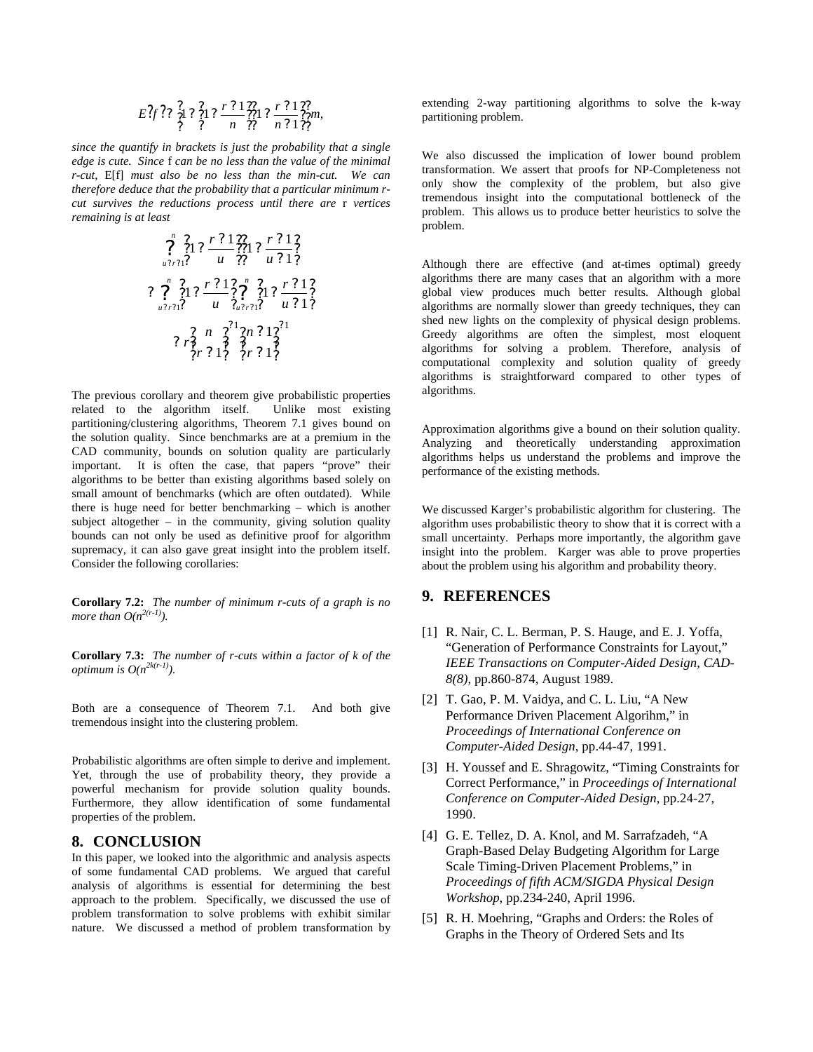$$
E\frac{?}{?}f\frac{?}{?}12\frac{?}{?}12\frac{r\cdot 2}{n}\frac{?}{?}12\frac{?}{?}12\frac{r\cdot 2}{?}1\frac{?}{?}1\frac{?}{?}1\frac{?}{?}m,
$$

*since the quantify in brackets is just the probability that a single edge is cute. Since* f *can be no less than the value of the minimal r-cut,* E[f] *must also be no less than the min-cut. We can therefore deduce that the probability that a particular minimum rcut survives the reductions process until there are* r *vertices remaining is at least*

? ? ? ? ? ? ? ? ? ? ? ? ? ? ? ? ? ? ? ? *n <sup>u</sup> <sup>r</sup> u r u r* <sup>1</sup> 1 1 1 1 1 ? ? ? ? ? ? ? ? ? ? ? ? ? ? ? ? ? ? ? ? ? ? ? ? *n u r n <sup>u</sup> <sup>r</sup> u r u r* <sup>1</sup> <sup>1</sup> 1 1 1 1 1 1 1 1 1 1 ? ? ? ? ? ? ? ? ? ? ? ? ? ? ? ? ? ? ? ? *r* ? ? *r n n r*

The previous corollary and theorem give probabilistic properties related to the algorithm itself. Unlike most existing partitioning/clustering algorithms, Theorem 7.1 gives bound on the solution quality. Since benchmarks are at a premium in the CAD community, bounds on solution quality are particularly important. It is often the case, that papers "prove" their algorithms to be better than existing algorithms based solely on small amount of benchmarks (which are often outdated). While there is huge need for better benchmarking – which is another subject altogether – in the community, giving solution quality bounds can not only be used as definitive proof for algorithm supremacy, it can also gave great insight into the problem itself. Consider the following corollaries:

**Corollary 7.2:** *The number of minimum r-cuts of a graph is no more than*  $O(n^{2(r-1)})$ *.* 

**Corollary 7.3:** *The number of r-cuts within a factor of k of the optimum is O(n2k(r-1)).*

Both are a consequence of Theorem 7.1. And both give tremendous insight into the clustering problem.

Probabilistic algorithms are often simple to derive and implement. Yet, through the use of probability theory, they provide a powerful mechanism for provide solution quality bounds. Furthermore, they allow identification of some fundamental properties of the problem.

#### **8. CONCLUSION**

In this paper, we looked into the algorithmic and analysis aspects of some fundamental CAD problems. We argued that careful analysis of algorithms is essential for determining the best approach to the problem. Specifically, we discussed the use of problem transformation to solve problems with exhibit similar nature. We discussed a method of problem transformation by

extending 2-way partitioning algorithms to solve the k-way partitioning problem.

We also discussed the implication of lower bound problem transformation. We assert that proofs for NP-Completeness not only show the complexity of the problem, but also give tremendous insight into the computational bottleneck of the problem. This allows us to produce better heuristics to solve the problem.

Although there are effective (and at-times optimal) greedy algorithms there are many cases that an algorithm with a more global view produces much better results. Although global algorithms are normally slower than greedy techniques, they can shed new lights on the complexity of physical design problems. Greedy algorithms are often the simplest, most eloquent algorithms for solving a problem. Therefore, analysis of computational complexity and solution quality of greedy algorithms is straightforward compared to other types of algorithms.

Approximation algorithms give a bound on their solution quality. Analyzing and theoretically understanding approximation algorithms helps us understand the problems and improve the performance of the existing methods.

We discussed Karger's probabilistic algorithm for clustering. The algorithm uses probabilistic theory to show that it is correct with a small uncertainty. Perhaps more importantly, the algorithm gave insight into the problem. Karger was able to prove properties about the problem using his algorithm and probability theory.

# **9. REFERENCES**

- [1] R. Nair, C. L. Berman, P. S. Hauge, and E. J. Yoffa, "Generation of Performance Constraints for Layout," *IEEE Transactions on Computer-Aided Design*, *CAD-8(8)*, pp.860-874, August 1989.
- [2] T. Gao, P. M. Vaidya, and C. L. Liu, "A New Performance Driven Placement Algorihm," in *Proceedings of International Conference on Computer-Aided Design*, pp.44-47, 1991.
- [3] H. Youssef and E. Shragowitz, "Timing Constraints for Correct Performance," in *Proceedings of International Conference on Computer-Aided Design*, pp.24-27, 1990.
- [4] G. E. Tellez, D. A. Knol, and M. Sarrafzadeh, "A Graph-Based Delay Budgeting Algorithm for Large Scale Timing-Driven Placement Problems," in *Proceedings of fifth ACM/SIGDA Physical Design Workshop*, pp.234-240, April 1996.
- [5] R. H. Moehring, "Graphs and Orders: the Roles of Graphs in the Theory of Ordered Sets and Its